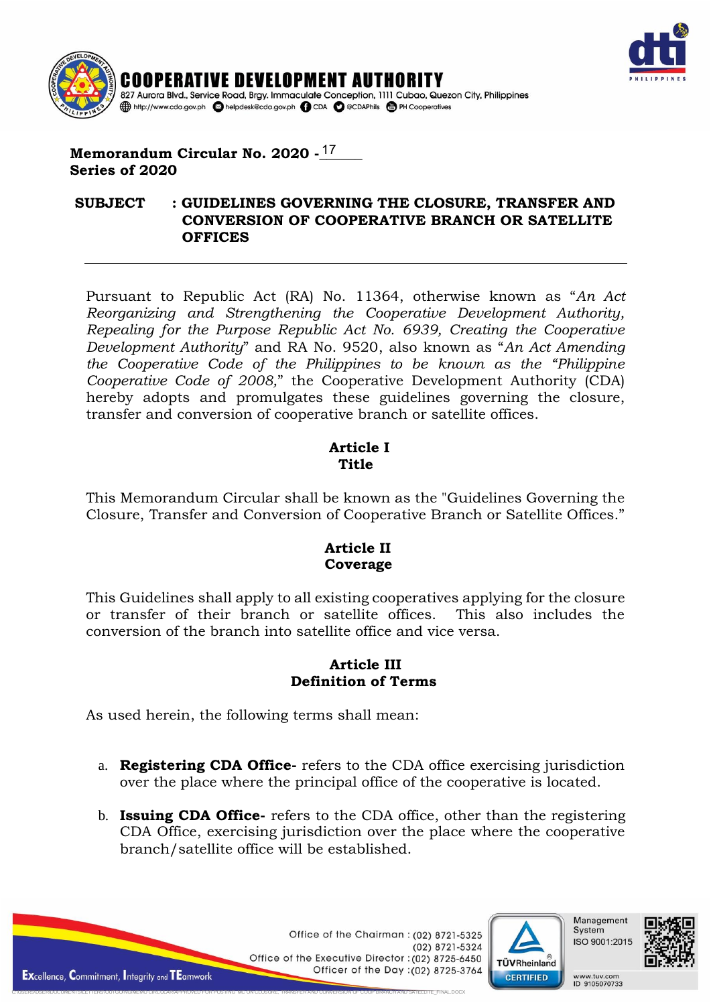



# Memorandum Circular No. 2020 -<u>17</u> **Series of 2020**

#### **SUBJECT : GUIDELINES GOVERNING THE CLOSURE, TRANSFER AND CONVERSION OF COOPERATIVE BRANCH OR SATELLITE OFFICES**

Pursuant to Republic Act (RA) No. 11364, otherwise known as "*An Act Reorganizing and Strengthening the Cooperative Development Authority, Repealing for the Purpose Republic Act No. 6939, Creating the Cooperative Development Authority*" and RA No. 9520, also known as "*An Act Amending the Cooperative Code of the Philippines to be known as the "Philippine Cooperative Code of 2008,*" the Cooperative Development Authority (CDA) hereby adopts and promulgates these guidelines governing the closure, transfer and conversion of cooperative branch or satellite offices.

### **Article I Title**

This Memorandum Circular shall be known as the "Guidelines Governing the Closure, Transfer and Conversion of Cooperative Branch or Satellite Offices."

# **Article II Coverage**

This Guidelines shall apply to all existing cooperatives applying for the closure or transfer of their branch or satellite offices. This also includes the conversion of the branch into satellite office and vice versa.

# **Article III Definition of Terms**

As used herein, the following terms shall mean:

C:\USERS\USER\DOCUMENTS\LETTERS\OUTGOING\MEMO CIRCULAR\APPROVED FOR POSTING MC ON CLOSURE, TRANSFER AND CONVERSION OF COOP BRANCH AND SATELLITE\_FINAL.DOCX

- a. **Registering CDA Office-** refers to the CDA office exercising jurisdiction over the place where the principal office of the cooperative is located.
- b. **Issuing CDA Office-** refers to the CDA office, other than the registering CDA Office, exercising jurisdiction over the place where the cooperative branch/satellite office will be established.

Office of the Chairman : (02) 8721-5325  $(02)$  8721-5324 Office of the Executive Director: (02) 8725-6450 Officer of the Day : (02) 8725-3764





www.tuv.com<br>ID 9105070733

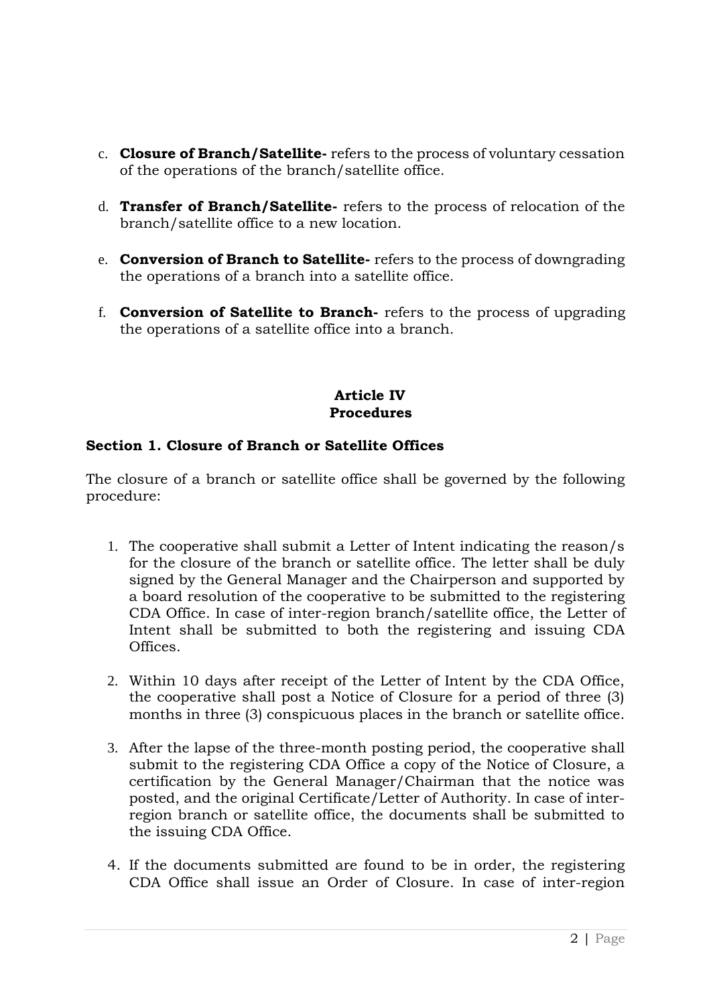- c. **Closure of Branch/Satellite-** refers to the process of voluntary cessation of the operations of the branch/satellite office.
- d. **Transfer of Branch/Satellite-** refers to the process of relocation of the branch/satellite office to a new location.
- e. **Conversion of Branch to Satellite-** refers to the process of downgrading the operations of a branch into a satellite office.
- f. **Conversion of Satellite to Branch-** refers to the process of upgrading the operations of a satellite office into a branch.

# **Article IV Procedures**

# **Section 1. Closure of Branch or Satellite Offices**

The closure of a branch or satellite office shall be governed by the following procedure:

- 1. The cooperative shall submit a Letter of Intent indicating the reason/s for the closure of the branch or satellite office. The letter shall be duly signed by the General Manager and the Chairperson and supported by a board resolution of the cooperative to be submitted to the registering CDA Office. In case of inter-region branch/satellite office, the Letter of Intent shall be submitted to both the registering and issuing CDA Offices.
- 2. Within 10 days after receipt of the Letter of Intent by the CDA Office, the cooperative shall post a Notice of Closure for a period of three (3) months in three (3) conspicuous places in the branch or satellite office.
- 3. After the lapse of the three-month posting period, the cooperative shall submit to the registering CDA Office a copy of the Notice of Closure, a certification by the General Manager/Chairman that the notice was posted, and the original Certificate/Letter of Authority. In case of interregion branch or satellite office, the documents shall be submitted to the issuing CDA Office.
- 4. If the documents submitted are found to be in order, the registering CDA Office shall issue an Order of Closure. In case of inter-region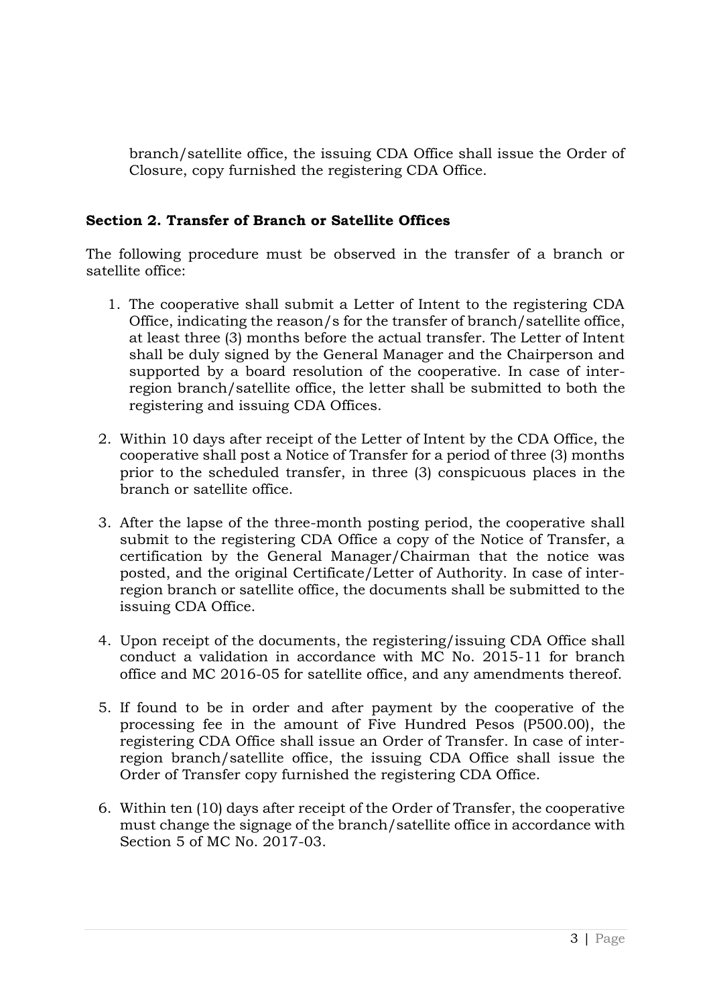branch/satellite office, the issuing CDA Office shall issue the Order of Closure, copy furnished the registering CDA Office.

# **Section 2. Transfer of Branch or Satellite Offices**

The following procedure must be observed in the transfer of a branch or satellite office:

- 1. The cooperative shall submit a Letter of Intent to the registering CDA Office, indicating the reason/s for the transfer of branch/satellite office, at least three (3) months before the actual transfer. The Letter of Intent shall be duly signed by the General Manager and the Chairperson and supported by a board resolution of the cooperative. In case of interregion branch/satellite office, the letter shall be submitted to both the registering and issuing CDA Offices.
- 2. Within 10 days after receipt of the Letter of Intent by the CDA Office, the cooperative shall post a Notice of Transfer for a period of three (3) months prior to the scheduled transfer, in three (3) conspicuous places in the branch or satellite office.
- 3. After the lapse of the three-month posting period, the cooperative shall submit to the registering CDA Office a copy of the Notice of Transfer, a certification by the General Manager/Chairman that the notice was posted, and the original Certificate/Letter of Authority. In case of interregion branch or satellite office, the documents shall be submitted to the issuing CDA Office.
- 4. Upon receipt of the documents, the registering/issuing CDA Office shall conduct a validation in accordance with MC No. 2015-11 for branch office and MC 2016-05 for satellite office, and any amendments thereof.
- 5. If found to be in order and after payment by the cooperative of the processing fee in the amount of Five Hundred Pesos (P500.00), the registering CDA Office shall issue an Order of Transfer. In case of interregion branch/satellite office, the issuing CDA Office shall issue the Order of Transfer copy furnished the registering CDA Office.
- 6. Within ten (10) days after receipt of the Order of Transfer, the cooperative must change the signage of the branch/satellite office in accordance with Section 5 of MC No. 2017-03.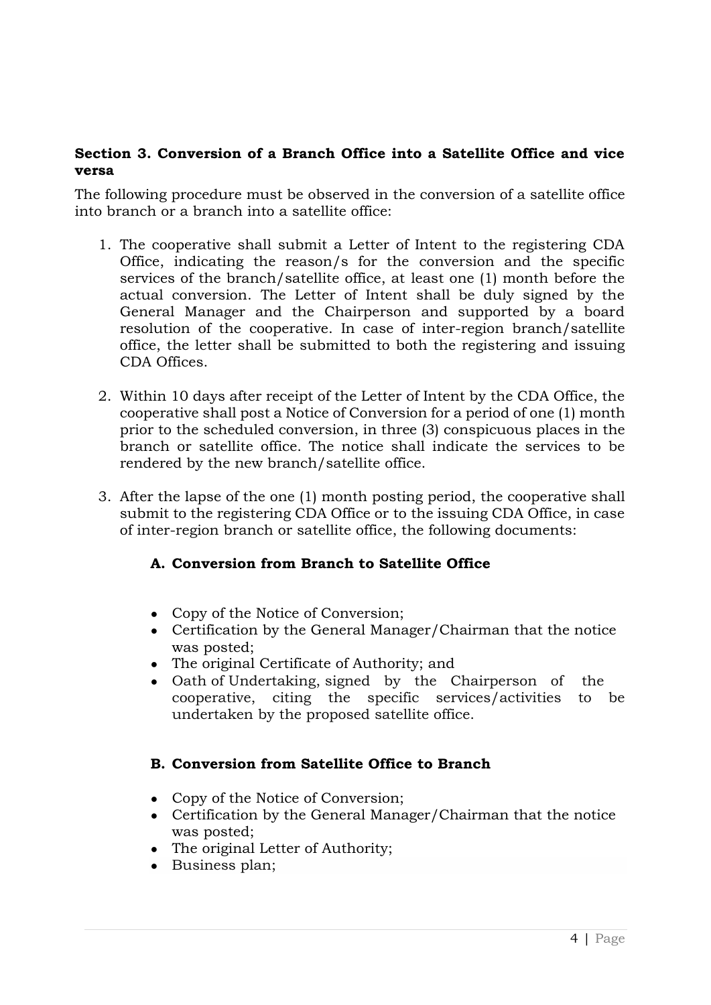## **Section 3. Conversion of a Branch Office into a Satellite Office and vice versa**

The following procedure must be observed in the conversion of a satellite office into branch or a branch into a satellite office:

- 1. The cooperative shall submit a Letter of Intent to the registering CDA Office, indicating the reason/s for the conversion and the specific services of the branch/satellite office, at least one (1) month before the actual conversion. The Letter of Intent shall be duly signed by the General Manager and the Chairperson and supported by a board resolution of the cooperative. In case of inter-region branch/satellite office, the letter shall be submitted to both the registering and issuing CDA Offices.
- 2. Within 10 days after receipt of the Letter of Intent by the CDA Office, the cooperative shall post a Notice of Conversion for a period of one (1) month prior to the scheduled conversion, in three (3) conspicuous places in the branch or satellite office. The notice shall indicate the services to be rendered by the new branch/satellite office.
- 3. After the lapse of the one (1) month posting period, the cooperative shall submit to the registering CDA Office or to the issuing CDA Office, in case of inter-region branch or satellite office, the following documents:

# **A. Conversion from Branch to Satellite Office**

- Copy of the Notice of Conversion;
- Certification by the General Manager/Chairman that the notice was posted;
- The original Certificate of Authority; and
- Oath of Undertaking, signed by the Chairperson of the cooperative, citing the specific services/activities to be undertaken by the proposed satellite office.

# **B. Conversion from Satellite Office to Branch**

- Copy of the Notice of Conversion;
- Certification by the General Manager/Chairman that the notice was posted;
- The original Letter of Authority;
- Business plan;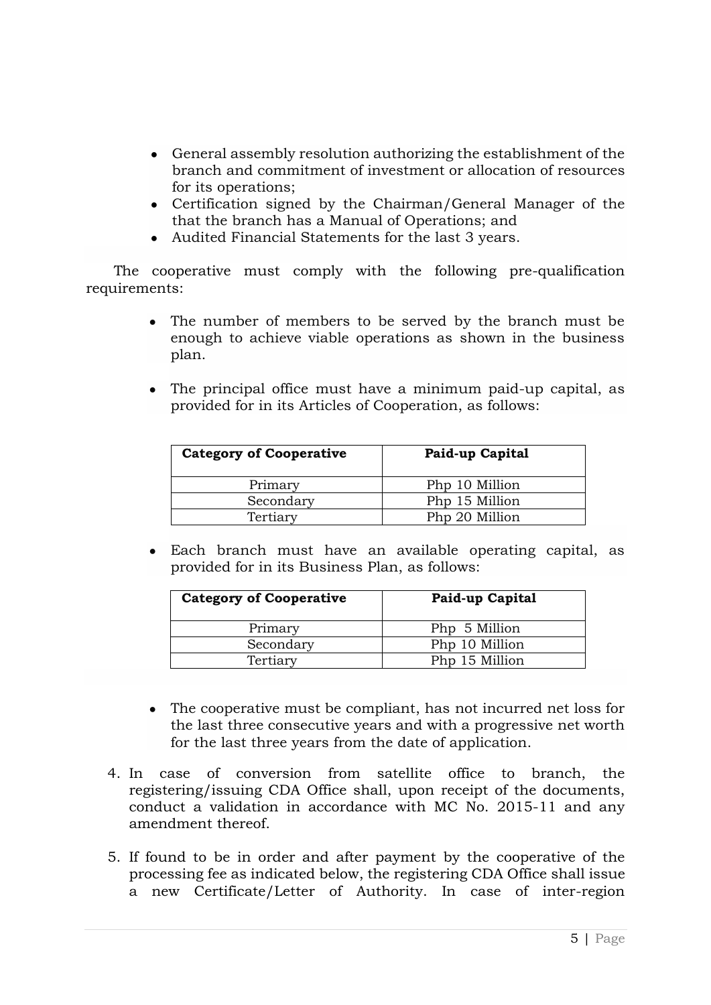- General assembly resolution authorizing the establishment of the branch and commitment of investment or allocation of resources for its operations;
- Certification signed by the Chairman/General Manager of the that the branch has a Manual of Operations; and
- Audited Financial Statements for the last 3 years.

 The cooperative must comply with the following pre-qualification requirements:

- The number of members to be served by the branch must be enough to achieve viable operations as shown in the business plan.
- The principal office must have a minimum paid-up capital, as provided for in its Articles of Cooperation, as follows:

| <b>Category of Cooperative</b> | Paid-up Capital |
|--------------------------------|-----------------|
| Primary                        | Php 10 Million  |
| Secondary                      | Php 15 Million  |
| Tertiary                       | Php 20 Million  |

● Each branch must have an available operating capital, as provided for in its Business Plan, as follows:

| <b>Category of Cooperative</b> | Paid-up Capital |
|--------------------------------|-----------------|
| Primary                        | Php 5 Million   |
| Secondary                      | Php 10 Million  |
| Tertiary                       | Php 15 Million  |

- The cooperative must be compliant, has not incurred net loss for the last three consecutive years and with a progressive net worth for the last three years from the date of application.
- 4. In case of conversion from satellite office to branch, the registering/issuing CDA Office shall, upon receipt of the documents, conduct a validation in accordance with MC No. 2015-11 and any amendment thereof.
- 5. If found to be in order and after payment by the cooperative of the processing fee as indicated below, the registering CDA Office shall issue a new Certificate/Letter of Authority. In case of inter-region